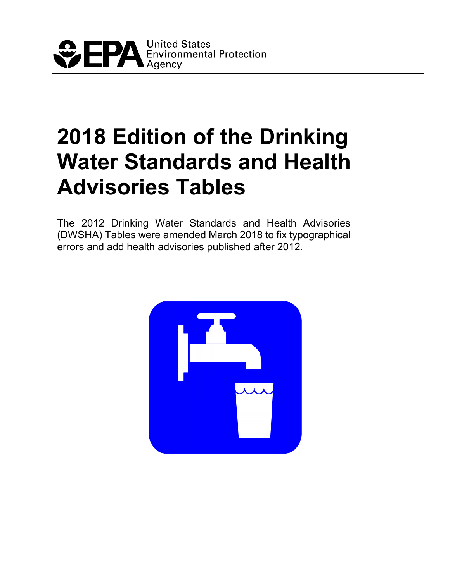

# **2018 Edition of the Drinking Water Standards and Health Advisories Tables**

The 2012 Drinking Water Standards and Health Advisories (DWSHA) Tables were amended March 2018 to fix typographical errors and add health advisories published after 2012.

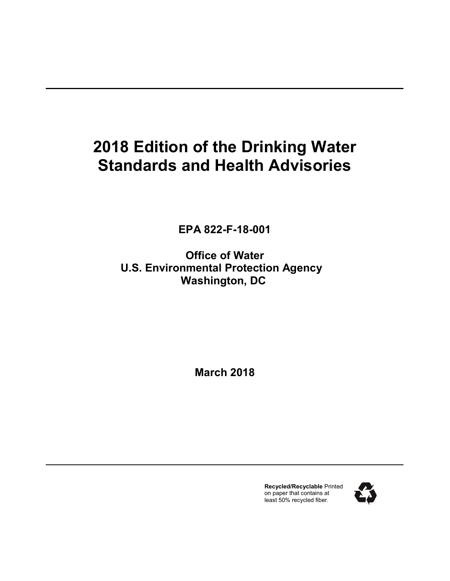## **2018 Edition of the Drinking Water Standards and Health Advisories**

**EPA 822-F-18-001**

**Office of Water U.S. Environmental Protection Agency Washington, DC**

**March 2018**

**Recycled/Recyclable** Printed on paper that contains at least 50% recycled fiber.

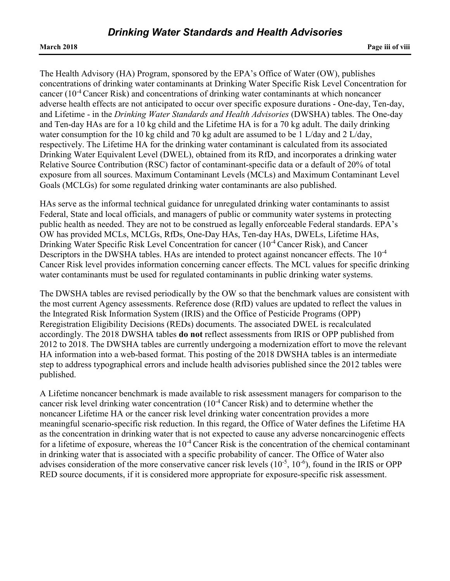The Health Advisory (HA) Program, sponsored by the EPA's Office of Water (OW), publishes concentrations of drinking water contaminants at Drinking Water Specific Risk Level Concentration for cancer (10-4 Cancer Risk) and concentrations of drinking water contaminants at which noncancer adverse health effects are not anticipated to occur over specific exposure durations - One-day, Ten-day, and Lifetime - in the *Drinking Water Standards and Health Advisories* (DWSHA) tables. The One-day and Ten-day HAs are for a 10 kg child and the Lifetime HA is for a 70 kg adult. The daily drinking water consumption for the 10 kg child and 70 kg adult are assumed to be 1 L/day and 2 L/day, respectively. The Lifetime HA for the drinking water contaminant is calculated from its associated Drinking Water Equivalent Level (DWEL), obtained from its RfD, and incorporates a drinking water Relative Source Contribution (RSC) factor of contaminant-specific data or a default of 20% of total exposure from all sources. Maximum Contaminant Levels (MCLs) and Maximum Contaminant Level Goals (MCLGs) for some regulated drinking water contaminants are also published.

HAs serve as the informal technical guidance for unregulated drinking water contaminants to assist Federal, State and local officials, and managers of public or community water systems in protecting public health as needed. They are not to be construed as legally enforceable Federal standards. EPA's OW has provided MCLs, MCLGs, RfDs, One-Day HAs, Ten-day HAs, DWELs, Lifetime HAs, Drinking Water Specific Risk Level Concentration for cancer (10-4 Cancer Risk), and Cancer Descriptors in the DWSHA tables. HAs are intended to protect against noncancer effects. The  $10^{-4}$ Cancer Risk level provides information concerning cancer effects. The MCL values for specific drinking water contaminants must be used for regulated contaminants in public drinking water systems.

The DWSHA tables are revised periodically by the OW so that the benchmark values are consistent with the most current Agency assessments. Reference dose (RfD) values are updated to reflect the values in the Integrated Risk Information System (IRIS) and the Office of Pesticide Programs (OPP) Reregistration Eligibility Decisions (REDs) documents. The associated DWEL is recalculated accordingly. The 2018 DWSHA tables **do not** reflect assessments from IRIS or OPP published from 2012 to 2018. The DWSHA tables are currently undergoing a modernization effort to move the relevant HA information into a web-based format. This posting of the 2018 DWSHA tables is an intermediate step to address typographical errors and include health advisories published since the 2012 tables were published.

A Lifetime noncancer benchmark is made available to risk assessment managers for comparison to the cancer risk level drinking water concentration (10-4 Cancer Risk) and to determine whether the noncancer Lifetime HA or the cancer risk level drinking water concentration provides a more meaningful scenario-specific risk reduction. In this regard, the Office of Water defines the Lifetime HA as the concentration in drinking water that is not expected to cause any adverse noncarcinogenic effects for a lifetime of exposure, whereas the  $10^{-4}$  Cancer Risk is the concentration of the chemical contaminant in drinking water that is associated with a specific probability of cancer. The Office of Water also advises consideration of the more conservative cancer risk levels  $(10^{-5}, 10^{-6})$ , found in the IRIS or OPP RED source documents, if it is considered more appropriate for exposure-specific risk assessment.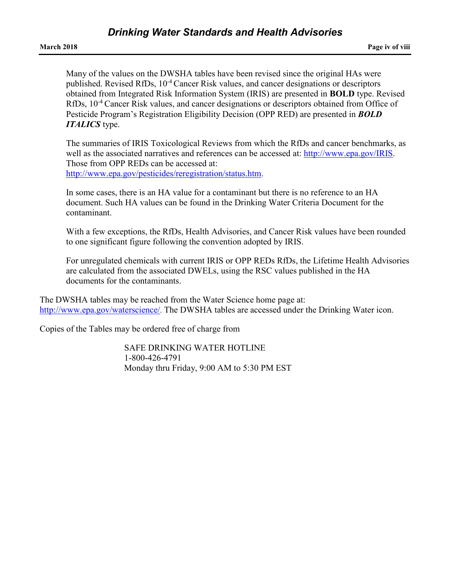Many of the values on the DWSHA tables have been revised since the original HAs were published. Revised RfDs, 10<sup>-4</sup> Cancer Risk values, and cancer designations or descriptors obtained from Integrated Risk Information System (IRIS) are presented in **BOLD** type. Revised RfDs, 10<sup>-4</sup> Cancer Risk values, and cancer designations or descriptors obtained from Office of Pesticide Program's Registration Eligibility Decision (OPP RED) are presented in *BOLD ITALICS* type.

The summaries of IRIS Toxicological Reviews from which the RfDs and cancer benchmarks, as well as the associated narratives and references can be accessed at: [http://www.epa.gov/IRIS.](http://www.epa.gov/iris/) Those from OPP REDs can be accessed at: [http://www.epa.gov/pesticides/reregistration/status.htm.](http://www.epa.gov/pesticides/reregistration/status.htm)

In some cases, there is an HA value for a contaminant but there is no reference to an HA document. Such HA values can be found in the Drinking Water Criteria Document for the contaminant.

With a few exceptions, the RfDs, Health Advisories, and Cancer Risk values have been rounded to one significant figure following the convention adopted by IRIS.

For unregulated chemicals with current IRIS or OPP REDs RfDs, the Lifetime Health Advisories are calculated from the associated DWELs, using the RSC values published in the HA documents for the contaminants.

The DWSHA tables may be reached from the Water Science home page at: [http://www.epa.gov/waterscience/.](http://www.epa.gov/ost/) The DWSHA tables are accessed under the Drinking Water icon.

Copies of the Tables may be ordered free of charge from

SAFE DRINKING WATER HOTLINE 1-800-426-4791 Monday thru Friday, 9:00 AM to 5:30 PM EST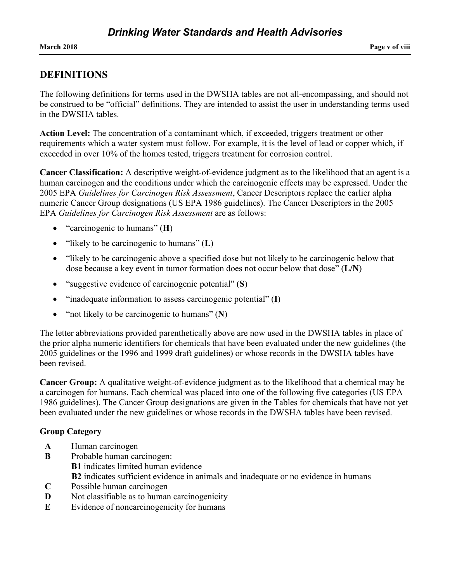### **DEFINITIONS**

The following definitions for terms used in the DWSHA tables are not all-encompassing, and should not be construed to be "official" definitions. They are intended to assist the user in understanding terms used in the DWSHA tables.

**Action Level:** The concentration of a contaminant which, if exceeded, triggers treatment or other requirements which a water system must follow. For example, it is the level of lead or copper which, if exceeded in over 10% of the homes tested, triggers treatment for corrosion control.

**Cancer Classification:** A descriptive weight-of-evidence judgment as to the likelihood that an agent is a human carcinogen and the conditions under which the carcinogenic effects may be expressed. Under the 2005 EPA *Guidelines for Carcinogen Risk Assessment*, Cancer Descriptors replace the earlier alpha numeric Cancer Group designations (US EPA 1986 guidelines). The Cancer Descriptors in the 2005 EPA *Guidelines for Carcinogen Risk Assessment* are as follows:

- "carcinogenic to humans" (**H**)
- "likely to be carcinogenic to humans" (**L**)
- "likely to be carcinogenic above a specified dose but not likely to be carcinogenic below that dose because a key event in tumor formation does not occur below that dose" (**L/N**)
- "suggestive evidence of carcinogenic potential" (**S**)
- "inadequate information to assess carcinogenic potential" (**I**)
- "not likely to be carcinogenic to humans" (**N**)

The letter abbreviations provided parenthetically above are now used in the DWSHA tables in place of the prior alpha numeric identifiers for chemicals that have been evaluated under the new guidelines (the 2005 guidelines or the 1996 and 1999 draft guidelines) or whose records in the DWSHA tables have been revised.

**Cancer Group:** A qualitative weight-of-evidence judgment as to the likelihood that a chemical may be a carcinogen for humans. Each chemical was placed into one of the following five categories (US EPA 1986 guidelines). The Cancer Group designations are given in the Tables for chemicals that have not yet been evaluated under the new guidelines or whose records in the DWSHA tables have been revised.

### **Group Category**

- **A** Human carcinogen
- **B** Probable human carcinogen: **B1** indicates limited human evidence **B2** indicates sufficient evidence in animals and inadequate or no evidence in humans
- **C** Possible human carcinogen
- **D** Not classifiable as to human carcinogenicity
- **E** Evidence of noncarcinogenicity for humans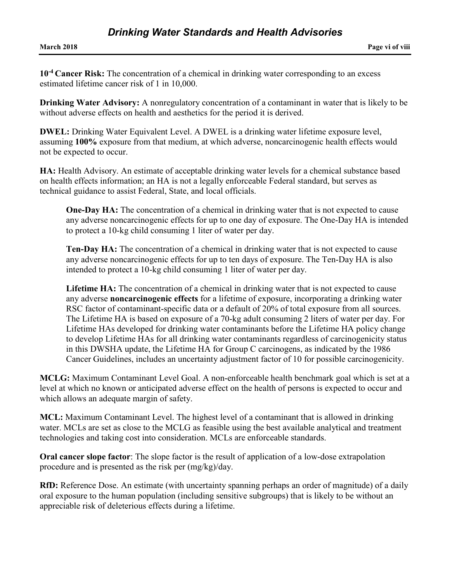**10-4 Cancer Risk:** The concentration of a chemical in drinking water corresponding to an excess estimated lifetime cancer risk of 1 in 10,000.

**Drinking Water Advisory:** A nonregulatory concentration of a contaminant in water that is likely to be without adverse effects on health and aesthetics for the period it is derived.

**DWEL:** Drinking Water Equivalent Level. A DWEL is a drinking water lifetime exposure level, assuming **100%** exposure from that medium, at which adverse, noncarcinogenic health effects would not be expected to occur.

**HA:** Health Advisory. An estimate of acceptable drinking water levels for a chemical substance based on health effects information; an HA is not a legally enforceable Federal standard, but serves as technical guidance to assist Federal, State, and local officials.

**One-Day HA:** The concentration of a chemical in drinking water that is not expected to cause any adverse noncarcinogenic effects for up to one day of exposure. The One-Day HA is intended to protect a 10-kg child consuming 1 liter of water per day.

**Ten-Day HA:** The concentration of a chemical in drinking water that is not expected to cause any adverse noncarcinogenic effects for up to ten days of exposure. The Ten-Day HA is also intended to protect a 10-kg child consuming 1 liter of water per day.

**Lifetime HA:** The concentration of a chemical in drinking water that is not expected to cause any adverse **noncarcinogenic effects** for a lifetime of exposure, incorporating a drinking water RSC factor of contaminant-specific data or a default of 20% of total exposure from all sources. The Lifetime HA is based on exposure of a 70-kg adult consuming 2 liters of water per day. For Lifetime HAs developed for drinking water contaminants before the Lifetime HA policy change to develop Lifetime HAs for all drinking water contaminants regardless of carcinogenicity status in this DWSHA update, the Lifetime HA for Group C carcinogens, as indicated by the 1986 Cancer Guidelines, includes an uncertainty adjustment factor of 10 for possible carcinogenicity.

**MCLG:** Maximum Contaminant Level Goal. A non-enforceable health benchmark goal which is set at a level at which no known or anticipated adverse effect on the health of persons is expected to occur and which allows an adequate margin of safety.

**MCL:** Maximum Contaminant Level. The highest level of a contaminant that is allowed in drinking water. MCLs are set as close to the MCLG as feasible using the best available analytical and treatment technologies and taking cost into consideration. MCLs are enforceable standards.

**Oral cancer slope factor**: The slope factor is the result of application of a low-dose extrapolation procedure and is presented as the risk per (mg/kg)/day.

**RfD:** Reference Dose. An estimate (with uncertainty spanning perhaps an order of magnitude) of a daily oral exposure to the human population (including sensitive subgroups) that is likely to be without an appreciable risk of deleterious effects during a lifetime.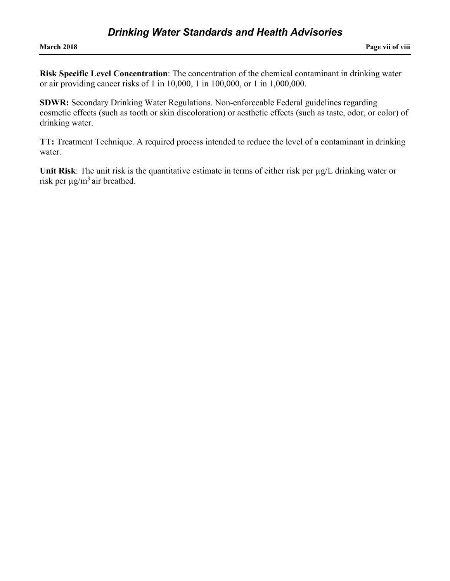**Risk Specific Level Concentration**: The concentration of the chemical contaminant in drinking water or air providing cancer risks of 1 in 10,000, 1 in 100,000, or 1 in 1,000,000.

**SDWR:** Secondary Drinking Water Regulations. Non-enforceable Federal guidelines regarding cosmetic effects (such as tooth or skin discoloration) or aesthetic effects (such as taste, odor, or color) of drinking water.

**TT:** Treatment Technique. A required process intended to reduce the level of a contaminant in drinking water.

**Unit Risk**: The unit risk is the quantitative estimate in terms of either risk per µg/L drinking water or risk per  $\mu$ g/m<sup>3</sup> air breathed.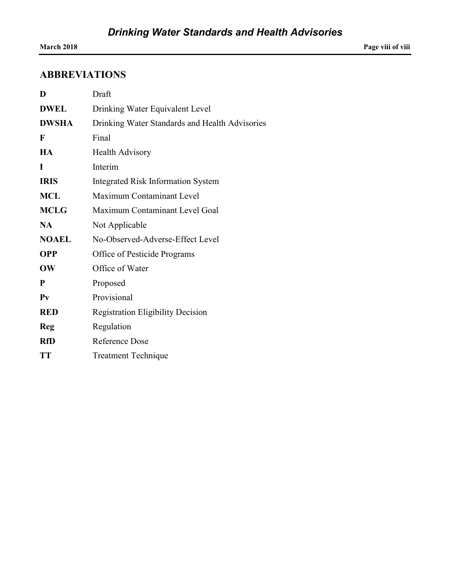### **ABBREVIATIONS**

| D            | Draft                                          |
|--------------|------------------------------------------------|
| <b>DWEL</b>  | Drinking Water Equivalent Level                |
| <b>DWSHA</b> | Drinking Water Standards and Health Advisories |
| $\mathbf{F}$ | Final                                          |
| HA           | <b>Health Advisory</b>                         |
| T            | Interim                                        |
| <b>IRIS</b>  | <b>Integrated Risk Information System</b>      |
| <b>MCL</b>   | Maximum Contaminant Level                      |
| <b>MCLG</b>  | Maximum Contaminant Level Goal                 |
| <b>NA</b>    | Not Applicable                                 |
| <b>NOAEL</b> | No-Observed-Adverse-Effect Level               |
| <b>OPP</b>   | Office of Pesticide Programs                   |
| OW           | Office of Water                                |
| P            | Proposed                                       |
| $P_{V}$      | Provisional                                    |
| <b>RED</b>   | <b>Registration Eligibility Decision</b>       |
| Reg          | Regulation                                     |
| <b>RfD</b>   | <b>Reference Dose</b>                          |
| <b>TT</b>    | <b>Treatment Technique</b>                     |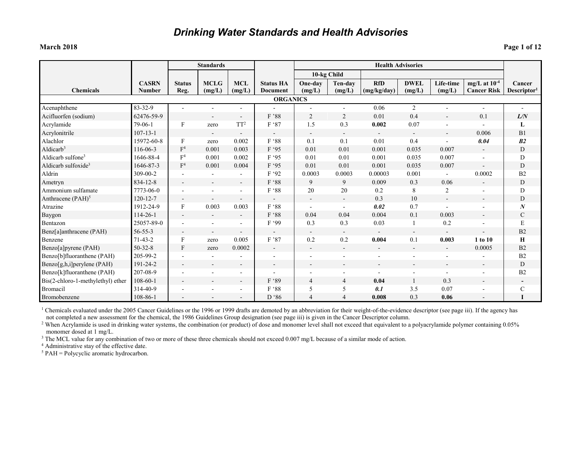| <b>March 2018</b> | Page 1 of 12 |
|-------------------|--------------|
|-------------------|--------------|

|                                   |                               |                           | <b>Standards</b>         |                          |                                     | <b>Health Advisories</b> |                          |                           |                          |                     |                                         |                                   |
|-----------------------------------|-------------------------------|---------------------------|--------------------------|--------------------------|-------------------------------------|--------------------------|--------------------------|---------------------------|--------------------------|---------------------|-----------------------------------------|-----------------------------------|
|                                   |                               |                           |                          |                          |                                     |                          | 10-kg Child              |                           |                          |                     |                                         |                                   |
| <b>Chemicals</b>                  | <b>CASRN</b><br><b>Number</b> | <b>Status</b><br>Reg.     | <b>MCLG</b><br>(mg/L)    | <b>MCL</b><br>(mg/L)     | <b>Status HA</b><br><b>Document</b> | One-day<br>(mg/L)        | Ten-dav<br>(mg/L)        | <b>RfD</b><br>(mg/kg/day) | <b>DWEL</b><br>(mg/L)    | Life-time<br>(mg/L) | mg/L at $10^{-4}$<br><b>Cancer Risk</b> | Cancer<br>Descriptor <sup>1</sup> |
|                                   |                               |                           |                          |                          | <b>ORGANICS</b>                     |                          |                          |                           |                          |                     |                                         |                                   |
| Acenaphthene                      | 83-32-9                       | L,                        |                          |                          |                                     |                          |                          | 0.06                      | $\overline{2}$           |                     | $\blacksquare$                          |                                   |
| Acifluorfen (sodium)              | 62476-59-9                    |                           |                          | $\overline{\phantom{a}}$ | F '88                               | $\overline{2}$           | $\overline{2}$           | 0.01                      | 0.4                      |                     | 0.1                                     | L/N                               |
| Acrylamide                        | $79-06-1$                     | $\boldsymbol{\mathrm{F}}$ | zero                     | TT <sup>2</sup>          | F '87                               | 1.5                      | 0.3                      | 0.002                     | 0.07                     |                     | $\blacksquare$                          | L                                 |
| Acrylonitrile                     | $107 - 13 - 1$                |                           |                          |                          |                                     | $\overline{\phantom{a}}$ | $\overline{\phantom{a}}$ | $\blacksquare$            | $\overline{\phantom{a}}$ |                     | 0.006                                   | B <sub>1</sub>                    |
| Alachlor                          | 15972-60-8                    | F                         | zero                     | 0.002                    | F '88                               | 0.1                      | 0.1                      | 0.01                      | 0.4                      |                     | 0.04                                    | B <sub>2</sub>                    |
| Aldicarb <sup>3</sup>             | 116-06-3                      | F <sup>4</sup>            | 0.001                    | 0.003                    | F '95                               | 0.01                     | 0.01                     | 0.001                     | 0.035                    | 0.007               | $\blacksquare$                          | $\mathbf D$                       |
| Aldicarb sulfone <sup>3</sup>     | 1646-88-4                     | F <sup>4</sup>            | 0.001                    | 0.002                    | F '95                               | 0.01                     | 0.01                     | 0.001                     | 0.035                    | 0.007               |                                         | D                                 |
| Aldicarb sulfoxide <sup>3</sup>   | 1646-87-3                     | F <sup>4</sup>            | 0.001                    | 0.004                    | F '95                               | 0.01                     | 0.01                     | 0.001                     | 0.035                    | 0.007               |                                         | D                                 |
| Aldrin                            | 309-00-2                      |                           |                          |                          | F '92                               | 0.0003                   | 0.0003                   | 0.00003                   | 0.001                    | $\sim$              | 0.0002                                  | B2                                |
| Ametryn                           | 834-12-8                      | $\blacksquare$            | $\blacksquare$           | $\overline{\phantom{a}}$ | F '88                               | 9                        | 9                        | 0.009                     | 0.3                      | 0.06                | $\blacksquare$                          | D                                 |
| Ammonium sulfamate                | 7773-06-0                     | $\blacksquare$            |                          | ۰                        | F '88                               | 20                       | 20                       | 0.2                       | 8                        | $\overline{2}$      |                                         | D                                 |
| Anthracene $(PAH)^5$              | $120 - 12 - 7$                | $\overline{\phantom{a}}$  | Ξ.                       | $\qquad \qquad -$        |                                     | $\overline{\phantom{a}}$ | $\blacksquare$           | 0.3                       | 10                       |                     | $\overline{\phantom{a}}$                | D                                 |
| Atrazine                          | 1912-24-9                     | F                         | 0.003                    | 0.003                    | F '88                               |                          |                          | 0.02                      | 0.7                      |                     |                                         | $\boldsymbol{N}$                  |
| Baygon                            | $114 - 26 - 1$                | $\blacksquare$            | $\overline{\phantom{a}}$ | $\overline{\phantom{a}}$ | F '88                               | 0.04                     | 0.04                     | 0.004                     | 0.1                      | 0.003               | $\overline{\phantom{a}}$                | $\mathbf C$                       |
| Bentazon                          | 25057-89-0                    | L,                        | $\blacksquare$           | ÷                        | F '99                               | 0.3                      | 0.3                      | 0.03                      |                          | 0.2                 |                                         | E                                 |
| Benz[a]anthracene (PAH)           | $56 - 55 - 3$                 | $\overline{\phantom{a}}$  | $\sim$                   | $\blacksquare$           | $\overline{\phantom{a}}$            | $\overline{\phantom{a}}$ | $\sim$                   |                           | $\sim$                   |                     |                                         | B <sub>2</sub>                    |
| Benzene                           | $71 - 43 - 2$                 | F                         | zero                     | 0.005                    | F'87                                | 0.2                      | 0.2                      | 0.004                     | 0.1                      | 0.003               | 1 to 10                                 | Н                                 |
| Benzo[a]pyrene (PAH)              | $50 - 32 - 8$                 | F                         | zero                     | 0.0002                   | $\overline{\phantom{a}}$            | $\overline{\phantom{a}}$ | $\overline{\phantom{a}}$ | $\overline{\phantom{a}}$  | $\blacksquare$           | $\sim$              | 0.0005                                  | B2                                |
| Benzo[b]fluoranthene (PAH)        | 205-99-2                      |                           |                          |                          |                                     |                          |                          |                           |                          |                     |                                         | B2                                |
| Benzo[g,h,i]perylene (PAH)        | 191-24-2                      | $\overline{\phantom{a}}$  | $\blacksquare$           | $\overline{\phantom{a}}$ |                                     | $\overline{\phantom{a}}$ | $\blacksquare$           | $\overline{\phantom{0}}$  | $\blacksquare$           |                     | $\overline{\phantom{a}}$                | D                                 |
| Benzo[k]fluoranthene (PAH)        | 207-08-9                      |                           |                          |                          |                                     |                          |                          |                           |                          |                     |                                         | B <sub>2</sub>                    |
| Bis(2-chloro-1-methylethyl) ether | $108 - 60 - 1$                | $\blacksquare$            | $\overline{\phantom{0}}$ | $\overline{\phantom{a}}$ | F '89                               | $\overline{4}$           | $\overline{4}$           | 0.04                      |                          | 0.3                 | $\overline{\phantom{a}}$                | $\overline{\phantom{a}}$          |
| <b>Bromacil</b>                   | 314-40-9                      |                           |                          | $\blacksquare$           | F '88                               | 5                        | 5                        | 0.1                       | 3.5                      | 0.07                |                                         | ${\bf C}$                         |
| Bromobenzene                      | 108-86-1                      |                           |                          | $\overline{\phantom{a}}$ | D '86                               | 4                        | $\overline{4}$           | 0.008                     | 0.3                      | 0.06                |                                         |                                   |

<sup>1</sup> Chemicals evaluated under the 2005 Cancer Guidelines or the 1996 or 1999 drafts are demoted by an abbreviation for their weight-of-the-evidence descriptor (see page iii). If the agency has not completed a new assessment for the chemical, the 1986 Guidelines Group designation (see page iii) is given in the Cancer Descriptor column.

<sup>2</sup> When Acrylamide is used in drinking water systems, the combination (or product) of dose and monomer level shall not exceed that equivalent to a polyacrylamide polymer containing 0.05% monomer dosed at 1 mg/L.

<sup>3</sup> The MCL value for any combination of two or more of these three chemicals should not exceed 0.007 mg/L because of a similar mode of action.

<sup>4</sup> Administrative stay of the effective date.

 $5$  PAH = Polycyclic aromatic hydrocarbon.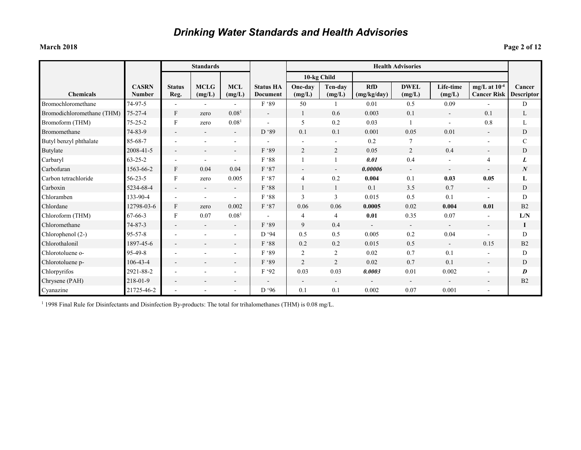### **March 2018 Page 2 of 12**

|                            |                               |                       | <b>Standards</b>         |                          |                                     | <b>Health Advisories</b> |                          |                           |                          |                          |                                         |                             |
|----------------------------|-------------------------------|-----------------------|--------------------------|--------------------------|-------------------------------------|--------------------------|--------------------------|---------------------------|--------------------------|--------------------------|-----------------------------------------|-----------------------------|
|                            |                               |                       |                          |                          |                                     | 10-kg Child              |                          |                           |                          |                          |                                         |                             |
| <b>Chemicals</b>           | <b>CASRN</b><br><b>Number</b> | <b>Status</b><br>Reg. | <b>MCLG</b><br>(mg/L)    | <b>MCL</b><br>(mg/L)     | <b>Status HA</b><br><b>Document</b> | One-day<br>(mg/L)        | Ten-day<br>(mg/L)        | <b>RfD</b><br>(mg/kg/day) | <b>DWEL</b><br>(mg/L)    | Life-time<br>(mg/L)      | mg/L at $10^{-4}$<br><b>Cancer Risk</b> | Cancer<br><b>Descriptor</b> |
| Bromochloromethane         | 74-97-5                       |                       |                          |                          | F '89                               | 50                       |                          | 0.01                      | 0.5                      | 0.09                     |                                         | D                           |
| Bromodichloromethane (THM) | $75 - 27 - 4$                 | F                     | zero                     | 0.08 <sup>1</sup>        | $\overline{\phantom{a}}$            | 1                        | 0.6                      | 0.003                     | 0.1                      | $\overline{\phantom{a}}$ | 0.1                                     | L                           |
| Bromoform (THM)            | $75 - 25 - 2$                 | F                     | zero                     | 0.08 <sup>1</sup>        |                                     | 5                        | 0.2                      | 0.03                      |                          | $\blacksquare$           | 0.8                                     | L                           |
| Bromomethane               | 74-83-9                       |                       | $\overline{\phantom{a}}$ | $\overline{\phantom{a}}$ | D '89                               | 0.1                      | 0.1                      | 0.001                     | 0.05                     | 0.01                     | $\blacksquare$                          | D                           |
| Butyl benzyl phthalate     | 85-68-7                       |                       | $\blacksquare$           |                          |                                     |                          | $\overline{\phantom{a}}$ | 0.2                       | 7                        | $\blacksquare$           |                                         | C                           |
| Butylate                   | 2008-41-5                     |                       |                          | $\overline{\phantom{a}}$ | F '89                               | $\overline{2}$           | $\overline{2}$           | 0.05                      | $\overline{2}$           | 0.4                      | $\overline{\phantom{a}}$                | D                           |
| Carbaryl                   | $63 - 25 - 2$                 |                       | $\overline{\phantom{a}}$ | $\overline{\phantom{a}}$ | F '88                               |                          |                          | 0.01                      | 0.4                      | $\blacksquare$           | $\overline{4}$                          | L                           |
| Carbofuran                 | 1563-66-2                     | $\mathbf{F}$          | 0.04                     | 0.04                     | F '87                               |                          | $\overline{\phantom{a}}$ | 0.00006                   | $\overline{\phantom{a}}$ | $\overline{\phantom{a}}$ |                                         | $\boldsymbol{N}$            |
| Carbon tetrachloride       | $56 - 23 - 5$                 | F                     | zero                     | 0.005                    | F '87                               | $\overline{4}$           | 0.2                      | 0.004                     | 0.1                      | 0.03                     | 0.05                                    | L                           |
| Carboxin                   | 5234-68-4                     |                       | $\overline{\phantom{a}}$ | $\overline{\phantom{a}}$ | F '88                               |                          |                          | 0.1                       | 3.5                      | 0.7                      |                                         | D                           |
| Chloramben                 | 133-90-4                      |                       | $\overline{\phantom{a}}$ |                          | F '88                               | $\overline{3}$           | 3                        | 0.015                     | 0.5                      | 0.1                      |                                         | D                           |
| Chlordane                  | 12798-03-6                    | $\mathbf{F}$          | zero                     | 0.002                    | F '87                               | 0.06                     | 0.06                     | 0.0005                    | 0.02                     | 0.004                    | 0.01                                    | B <sub>2</sub>              |
| Chloroform (THM)           | $67 - 66 - 3$                 | F                     | 0.07                     | 0.08 <sup>1</sup>        |                                     | $\overline{4}$           | 4                        | 0.01                      | 0.35                     | 0.07                     |                                         | L/N                         |
| Chloromethane              | $74 - 87 - 3$                 |                       | $\overline{\phantom{a}}$ | $\blacksquare$           | F '89                               | 9                        | 0.4                      | $\blacksquare$            | $\blacksquare$           | $\blacksquare$           | $\overline{\phantom{0}}$                | $\bf{l}$                    |
| Chlorophenol (2-)          | $95 - 57 - 8$                 |                       |                          |                          | D '94                               | 0.5                      | 0.5                      | 0.005                     | 0.2                      | 0.04                     | ٠                                       | D                           |
| Chlorothalonil             | 1897-45-6                     |                       |                          |                          | F '88                               | 0.2                      | 0.2                      | 0.015                     | 0.5                      | $\sim$                   | 0.15                                    | B <sub>2</sub>              |
| Chlorotoluene o-           | 95-49-8                       |                       |                          |                          | F '89                               | 2                        | 2                        | 0.02                      | 0.7                      | 0.1                      |                                         | D                           |
| Chlorotoluene p-           | $106 - 43 - 4$                |                       | $\overline{\phantom{a}}$ | $\blacksquare$           | F '89                               | $\overline{2}$           | $\overline{2}$           | 0.02                      | 0.7                      | 0.1                      | $\overline{\phantom{0}}$                | D                           |
| Chlorpyrifos               | 2921-88-2                     |                       |                          |                          | F '92                               | 0.03                     | 0.03                     | 0.0003                    | 0.01                     | 0.002                    |                                         | D                           |
| Chrysene (PAH)             | 218-01-9                      |                       | $\overline{\phantom{0}}$ | $\overline{\phantom{a}}$ | $\blacksquare$                      | $\overline{\phantom{a}}$ | $\overline{\phantom{a}}$ | $\overline{\phantom{a}}$  | $\overline{\phantom{a}}$ | $\blacksquare$           | $\overline{\phantom{a}}$                | B <sub>2</sub>              |
| Cyanazine                  | 21725-46-2                    |                       |                          |                          | D '96                               | 0.1                      | 0.1                      | 0.002                     | 0.07                     | 0.001                    |                                         |                             |

<sup>1</sup> 1998 Final Rule for Disinfectants and Disinfection By-products: The total for trihalomethanes (THM) is 0.08 mg/L.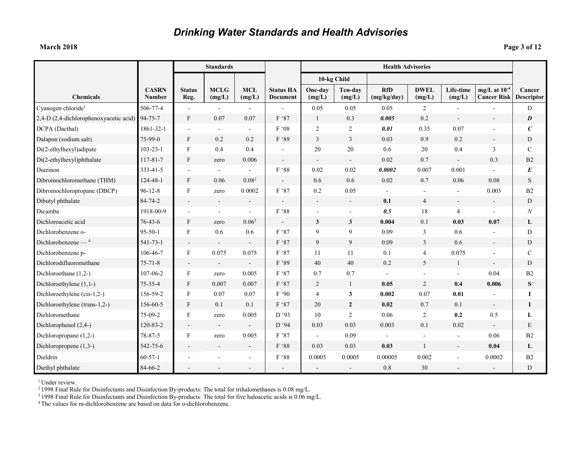**March 2018 Page 3 of 12**

|                                        |                               |                           | <b>Standards</b>         |                          |                              |                          |                   | <b>Health Advisories</b>  |                          |                     |                                         |                      |
|----------------------------------------|-------------------------------|---------------------------|--------------------------|--------------------------|------------------------------|--------------------------|-------------------|---------------------------|--------------------------|---------------------|-----------------------------------------|----------------------|
|                                        |                               |                           |                          |                          |                              |                          | 10-kg Child       |                           |                          |                     |                                         |                      |
| <b>Chemicals</b>                       | <b>CASRN</b><br><b>Number</b> | <b>Status</b><br>Reg.     | <b>MCLG</b><br>(mg/L)    | <b>MCL</b><br>(mg/L)     | <b>Status HA</b><br>Document | One-day<br>(mg/L)        | Ten-day<br>(mg/L) | <b>RfD</b><br>(mg/kg/day) | <b>DWEL</b><br>(mg/L)    | Life-time<br>(mg/L) | mg/L at $10^{-4}$<br><b>Cancer Risk</b> | Cancer<br>Descriptor |
| Cyanogen chloride <sup>1</sup>         | 506-77-4                      |                           |                          |                          |                              | 0.05                     | 0.05              | 0.05                      | $\overline{2}$           |                     |                                         | D                    |
| 2,4-D (2,4-dichlorophenoxyacetic acid) | 94-75-7                       | F                         | 0.07                     | 0.07                     | F '87                        | $\mathbf{1}$             | 0.3               | 0.005                     | 0.2                      | $\blacksquare$      | $\blacksquare$                          | $\boldsymbol{D}$     |
| DCPA (Dacthal)                         | 1861-32-1                     |                           | $\sim$                   | $\blacksquare$           | F '08                        | $\overline{2}$           | 2                 | 0.01                      | 0.35                     | 0.07                |                                         | $\mathcal C$         |
| Dalapon (sodium salt)                  | 75-99-0                       | F                         | 0.2                      | 0.2                      | F '89                        | $\mathfrak{Z}$           | $\overline{3}$    | 0.03                      | 0.9                      | 0.2                 |                                         | D                    |
| Di(2-ethylhexyl)adipate                | $103 - 23 - 1$                | $\mathbf F$               | 0.4                      | 0.4                      |                              | 20                       | $20\,$            | 0.6                       | 20                       | 0.4                 | 3                                       | $\mathcal{C}$        |
| Di(2-ethylhexyl)phthalate              | 117-81-7                      | F                         | zero                     | 0.006                    | $\overline{\phantom{a}}$     | $\overline{\phantom{a}}$ | $\sim$            | 0.02                      | 0.7                      | $\sim$              | 0.3                                     | B <sub>2</sub>       |
| Diazinon                               | 333-41-5                      | $\blacksquare$            | $\blacksquare$           | $\sim$                   | F '88                        | $0.02\,$                 | 0.02              | 0.0002                    | 0.007                    | 0.001               | $\sim$                                  | $\boldsymbol{E}$     |
| Dibromochloromethane (THM)             | 124-48-1                      | F                         | 0.06                     | 0.08 <sup>2</sup>        |                              | 0.6                      | 0.6               | 0.02                      | 0.7                      | 0.06                | 0.08                                    | $\mathbf S$          |
| Dibromochloropropane (DBCP)            | $96 - 12 - 8$                 | $\mathbf F$               | zero                     | 0.0002                   | F '87                        | $0.2\,$                  | 0.05              |                           |                          | $\blacksquare$      | 0.003                                   | $\rm B2$             |
| Dibutyl phthalate                      | 84-74-2                       |                           | $\sim$                   |                          |                              | $\blacksquare$           | $\sim$            | 0.1                       | $\overline{4}$           | $\sim$              | $\blacksquare$                          | ${\rm D}$            |
| Dicamba                                | 1918-00-9                     | $\sim$                    | $\sim$                   | $\sim$                   | F '88                        | $\overline{\phantom{a}}$ | $\sim$            | 0.5                       | 18                       | 4                   | $\sim$                                  | N                    |
| Dichloroacetic acid                    | $76 - 43 - 6$                 | F                         | zero                     | 0.06 <sup>3</sup>        |                              | $\mathbf{3}$             | $\mathbf{3}$      | 0.004                     | 0.1                      | 0.03                | 0.07                                    | L                    |
| Dichlorobenzene o-                     | $95 - 50 - 1$                 | $\mathbf F$               | 0.6                      | 0.6                      | F '87                        | 9                        | 9                 | 0.09                      | 3                        | 0.6                 | $\overline{a}$                          | D                    |
| Dichlorobenzene $-$ <sup>4</sup>       | 541-73-1                      | $\overline{\phantom{a}}$  | $\blacksquare$           | $\sim$                   | F '87                        | 9                        | 9                 | 0.09                      | $\overline{3}$           | 0.6                 | $\sim$                                  | D                    |
| Dichlorobenzene p-                     | 106-46-7                      | F                         | 0.075                    | 0.075                    | F '87                        | 11                       | 11                | 0.1                       | $\overline{4}$           | 0.075               | $\overline{\phantom{a}}$                | $\mathcal{C}$        |
| Dichlorodifluoromethane                | $75 - 71 - 8$                 | $\blacksquare$            | $\blacksquare$           | $\blacksquare$           | F '89                        | 40                       | 40                | 0.2                       | 5                        | $\mathbf{1}$        | $\omega$                                | D                    |
| Dichloroethane (1,2-)                  | 107-06-2                      | F                         | zero                     | 0.005                    | F '87                        | 0.7                      | 0.7               |                           | $\overline{\phantom{a}}$ | $\blacksquare$      | 0.04                                    | B2                   |
| Dichloroethylene (1,1-)                | 75-35-4                       | F                         | 0.007                    | 0.007                    | F '87                        | $\overline{2}$           | $\mathbf{1}$      | 0.05                      | 2                        | 0.4                 | 0.006                                   | S                    |
| Dichloroethylene (cis-1,2-)            | 156-59-2                      | $\boldsymbol{\mathrm{F}}$ | 0.07                     | 0.07                     | F '90                        | $\overline{4}$           | 3                 | 0.002                     | 0.07                     | 0.01                | $\sim$                                  | I                    |
| Dichloroethylene (trans-1,2-)          | 156-60-5                      | F                         | 0.1                      | 0.1                      | F '87                        | 20                       | $\overline{2}$    | 0.02                      | 0.7                      | 0.1                 | $\blacksquare$                          | 1                    |
| Dichloromethane                        | 75-09-2                       | $\boldsymbol{\mathrm{F}}$ | zero                     | 0.005                    | D'93                         | 10                       | $\overline{2}$    | 0.06                      | $\overline{2}$           | 0.2                 | 0.5                                     | L                    |
| Dichlorophenol (2,4-)                  | 120-83-2                      | $\overline{\phantom{a}}$  | $\overline{\phantom{a}}$ | $\overline{\phantom{a}}$ | D'94                         | 0.03                     | 0.03              | 0.003                     | 0.1                      | 0.02                | $\sim$                                  | E                    |
| Dichloropropane (1,2-)                 | 78-87-5                       | $\boldsymbol{\mathrm{F}}$ | zero                     | 0.005                    | F '87                        | $\sim$                   | 0.09              |                           |                          |                     | 0.06                                    | B2                   |
| Dichloropropene $(1,3-)$               | 542-75-6                      | $\overline{\phantom{a}}$  |                          | $\overline{\phantom{a}}$ | F '88                        | 0.03                     | 0.03              | 0.03                      | $\mathbf{1}$             | $\blacksquare$      | 0.04                                    | L                    |
| Dieldrin                               | $60 - 57 - 1$                 |                           |                          |                          | F '88                        | 0.0005                   | 0.0005            | 0.00005                   | 0.002                    |                     | 0.0002                                  | B2                   |
| Diethyl phthalate                      | 84-66-2                       |                           |                          |                          | $\sim$                       |                          |                   | 0.8                       | 30                       |                     | $\blacksquare$                          | ${\rm D}$            |

<sup>1</sup> Under review.

2 1998 Final Rule for Disinfectants and Disinfection By-products: The total for trihalomethanes is 0.08 mg/L.

<sup>3</sup> 1998 Final Rule for Disinfectants and Disinfection By-products: The total for five haloacetic acids is 0.06 mg/L.

4 The values for m-dichlorobenzene are based on data for o-dichlorobenzene.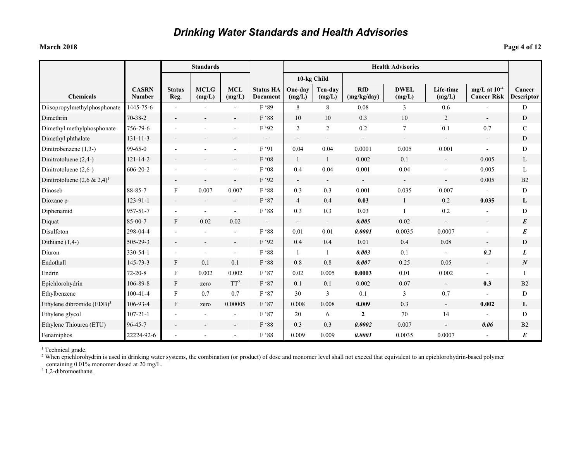### **March 2018 Page 4 of 12**

|                                       |                               |                           | <b>Standards</b>         |                          |                                     |                              |                          |                           | <b>Health Advisories</b>     |                     |                                         |                      |
|---------------------------------------|-------------------------------|---------------------------|--------------------------|--------------------------|-------------------------------------|------------------------------|--------------------------|---------------------------|------------------------------|---------------------|-----------------------------------------|----------------------|
|                                       |                               |                           |                          |                          |                                     | 10-kg Child                  |                          |                           |                              |                     |                                         |                      |
| <b>Chemicals</b>                      | <b>CASRN</b><br><b>Number</b> | <b>Status</b><br>Reg.     | <b>MCLG</b><br>(mg/L)    | <b>MCL</b><br>(mg/L)     | <b>Status HA</b><br><b>Document</b> | One-day<br>(mg/L)            | Ten-dav<br>(mg/L)        | <b>RfD</b><br>(mg/kg/day) | <b>DWEL</b><br>(mg/L)        | Life-time<br>(mg/L) | mg/L at $10^{-4}$<br><b>Cancer Risk</b> | Cancer<br>Descriptor |
| Diisopropylmethylphosphonate          | 1445-75-6                     |                           |                          |                          | F '89                               | 8                            | $8\,$                    | 0.08                      | 3                            | 0.6                 |                                         | D                    |
| Dimethrin                             | $70 - 38 - 2$                 |                           |                          |                          | F '88                               | 10                           | 10                       | 0.3                       | 10                           | 2                   | $\blacksquare$                          | D                    |
| Dimethyl methylphosphonate            | 756-79-6                      |                           | $\blacksquare$           |                          | F'92                                | 2                            | $\overline{2}$           | 0.2                       | $\tau$                       | 0.1                 | 0.7                                     | $\mathbf C$          |
| Dimethyl phthalate                    | $131 - 11 - 3$                |                           |                          |                          |                                     | $\qquad \qquad \blacksquare$ | $\overline{\phantom{a}}$ |                           | $\qquad \qquad \blacksquare$ |                     |                                         | D                    |
| Dinitrobenzene (1,3-)                 | $99 - 65 - 0$                 |                           |                          |                          | F '91                               | 0.04                         | 0.04                     | 0.0001                    | 0.005                        | 0.001               |                                         | D                    |
| Dinitrotoluene (2,4-)                 | $121 - 14 - 2$                |                           |                          |                          | F '08                               | 1                            | $\mathbf{1}$             | 0.002                     | 0.1                          | $\sim$              | 0.005                                   | L                    |
| Dinitrotoluene (2,6-)                 | $606 - 20 - 2$                |                           |                          |                          | F'08                                | 0.4                          | 0.04                     | 0.001                     | 0.04                         | $\blacksquare$      | 0.005                                   | L                    |
| Dinitrotoluene $(2,6 \& 2,4)^1$       |                               |                           |                          | $\overline{\phantom{a}}$ | F '92                               | $\overline{\phantom{a}}$     | $\overline{\phantom{a}}$ |                           | $\overline{\phantom{a}}$     | $\blacksquare$      | 0.005                                   | B2                   |
| Dinoseb                               | 88-85-7                       | $\boldsymbol{F}$          | 0.007                    | 0.007                    | F '88                               | 0.3                          | 0.3                      | 0.001                     | 0.035                        | 0.007               |                                         | D                    |
| Dioxane p-                            | $123 - 91 - 1$                |                           | $\blacksquare$           | $\blacksquare$           | F '87                               | $\overline{4}$               | 0.4                      | 0.03                      | 1                            | 0.2                 | 0.035                                   | L                    |
| Diphenamid                            | 957-51-7                      |                           | $\blacksquare$           | $\blacksquare$           | $F$ '88 $\,$                        | 0.3                          | 0.3                      | 0.03                      | -1                           | 0.2                 |                                         | D                    |
| Diquat                                | 85-00-7                       | F                         | 0.02                     | 0.02                     |                                     | $\qquad \qquad \blacksquare$ | $\overline{\phantom{a}}$ | 0.005                     | 0.02                         |                     | $\overline{\phantom{a}}$                | E                    |
| Disulfoton                            | 298-04-4                      |                           |                          |                          | $F$ '88 $\,$                        | 0.01                         | 0.01                     | 0.0001                    | 0.0035                       | 0.0007              |                                         | $\boldsymbol{E}$     |
| Dithiane $(1,4-)$                     | 505-29-3                      |                           | $\overline{\phantom{a}}$ | $\overline{\phantom{a}}$ | F '92                               | 0.4                          | 0.4                      | 0.01                      | 0.4                          | 0.08                |                                         | D                    |
| Diuron                                | 330-54-1                      |                           | $\overline{a}$           | $\blacksquare$           | F '88                               |                              |                          | 0.003                     | 0.1                          |                     | 0.2                                     | L                    |
| Endothall                             | $145 - 73 - 3$                | F                         | 0.1                      | 0.1                      | F '88                               | 0.8                          | 0.8                      | 0.007                     | 0.25                         | 0.05                | $\overline{\phantom{a}}$                | $\boldsymbol{N}$     |
| Endrin                                | $72 - 20 - 8$                 | F                         | 0.002                    | 0.002                    | F '87                               | 0.02                         | 0.005                    | 0.0003                    | 0.01                         | 0.002               |                                         |                      |
| Epichlorohydrin                       | 106-89-8                      | $\boldsymbol{\mathrm{F}}$ | zero                     | TT <sup>2</sup>          | F '87                               | 0.1                          | 0.1                      | 0.002                     | 0.07                         | $\blacksquare$      | 0.3                                     | B <sub>2</sub>       |
| Ethylbenzene                          | $100 - 41 - 4$                | F                         | 0.7                      | 0.7                      | F '87                               | 30                           | 3                        | 0.1                       | 3                            | 0.7                 |                                         | D                    |
| Ethylene dibromide (EDB) <sup>3</sup> | 106-93-4                      | F                         | zero                     | 0.00005                  | F '87                               | 0.008                        | 0.008                    | 0.009                     | 0.3                          | $\blacksquare$      | 0.002                                   | L                    |
| Ethylene glycol                       | $107 - 21 - 1$                |                           |                          |                          | F '87                               | 20                           | 6                        | $\boldsymbol{2}$          | 70                           | 14                  |                                         | D                    |
| Ethylene Thiourea (ETU)               | 96-45-7                       |                           |                          |                          | $F$ '88 $\,$                        | 0.3                          | 0.3                      | 0.0002                    | 0.007                        |                     | 0.06                                    | B2                   |
| Fenamiphos                            | 22224-92-6                    |                           |                          |                          | F '88                               | 0.009                        | 0.009                    | 0.0001                    | 0.0035                       | 0.0007              |                                         | E                    |

<sup>1</sup> Technical grade.

<sup>2</sup> When epichlorohydrin is used in drinking water systems, the combination (or product) of dose and monomer level shall not exceed that equivalent to an epichlorohydrin-based polymer containing 0.01% monomer dosed at 20 mg/L.

<sup>3</sup> 1,2-dibromoethane.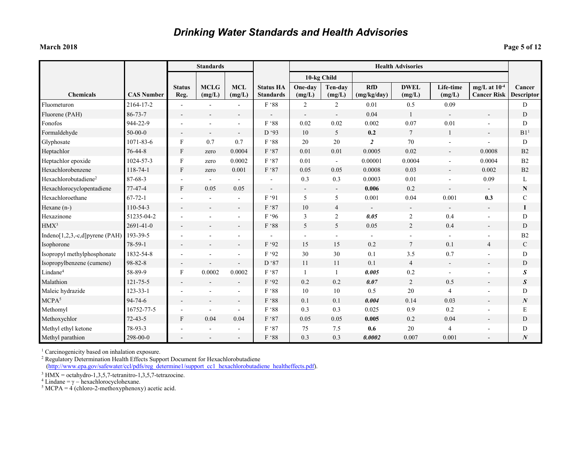#### **March 2018 Page 5 of 12**

|                                  |                   |                       | <b>Standards</b>         |                          |                                      |                          |                          |                           | <b>Health Advisories</b> |                          |                                         |                             |
|----------------------------------|-------------------|-----------------------|--------------------------|--------------------------|--------------------------------------|--------------------------|--------------------------|---------------------------|--------------------------|--------------------------|-----------------------------------------|-----------------------------|
|                                  |                   |                       |                          |                          |                                      | 10-kg Child              |                          |                           |                          |                          |                                         |                             |
| <b>Chemicals</b>                 | <b>CAS Number</b> | <b>Status</b><br>Reg. | <b>MCLG</b><br>(mg/L)    | <b>MCL</b><br>(mg/L)     | <b>Status HA</b><br><b>Standards</b> | One-day<br>(mg/L)        | Ten-day<br>(mg/L)        | <b>RfD</b><br>(mg/kg/day) | <b>DWEL</b><br>(mg/L)    | Life-time<br>(mg/L)      | mg/L at $10^{-4}$<br><b>Cancer Risk</b> | Cancer<br><b>Descriptor</b> |
| Fluometuron                      | 2164-17-2         |                       |                          |                          | F '88                                | $\overline{2}$           | $\overline{c}$           | 0.01                      | 0.5                      | 0.09                     |                                         | D                           |
| Fluorene (PAH)                   | $86 - 73 - 7$     |                       |                          |                          |                                      | $\overline{\phantom{a}}$ | $\blacksquare$           | 0.04                      | $\mathbf{1}$             | $\blacksquare$           | $\blacksquare$                          | D                           |
| Fonofos                          | 944-22-9          |                       |                          |                          | F '88                                | 0.02                     | 0.02                     | 0.002                     | 0.07                     | 0.01                     |                                         | D                           |
| Formaldehyde                     | $50-00-0$         |                       | $\overline{\phantom{a}}$ |                          | D'93                                 | 10                       | 5                        | 0.2                       | $7\phantom{.0}$          | 1                        | $\blacksquare$                          | B1 <sup>1</sup>             |
| Glyphosate                       | 1071-83-6         | F                     | 0.7                      | 0.7                      | F '88                                | 20                       | 20                       | $\overline{2}$            | 70                       |                          |                                         | D                           |
| Heptachlor                       | 76-44-8           | F                     | zero                     | 0.0004                   | F '87                                | 0.01                     | 0.01                     | 0.0005                    | 0.02                     | $\overline{\phantom{a}}$ | 0.0008                                  | B2                          |
| Heptachlor epoxide               | 1024-57-3         | F                     | zero                     | 0.0002                   | F '87                                | 0.01                     | $\blacksquare$           | 0.00001                   | 0.0004                   | $\overline{\phantom{a}}$ | 0.0004                                  | B <sub>2</sub>              |
| Hexachlorobenzene                | 118-74-1          | F                     | zero                     | 0.001                    | F '87                                | 0.05                     | 0.05                     | 0.0008                    | 0.03                     |                          | 0.002                                   | B2                          |
| Hexachlorobutadiene <sup>2</sup> | 87-68-3           |                       |                          |                          |                                      | 0.3                      | 0.3                      | 0.0003                    | 0.01                     | $\overline{\phantom{a}}$ | 0.09                                    | L                           |
| Hexachlorocyclopentadiene        | 77-47-4           | F                     | 0.05                     | 0.05                     | $\overline{\phantom{a}}$             | $\overline{\phantom{a}}$ | $\overline{\phantom{a}}$ | 0.006                     | 0.2                      | $\blacksquare$           | $\overline{\phantom{a}}$                | $\mathbf N$                 |
| Hexachloroethane                 | $67 - 72 - 1$     |                       |                          |                          | F '91                                | 5                        | 5                        | 0.001                     | 0.04                     | 0.001                    | 0.3                                     | $\mathbf C$                 |
| Hexane (n-)                      | 110-54-3          |                       |                          |                          | F '87                                | 10                       | $\overline{4}$           |                           | $\overline{\phantom{a}}$ |                          | $\overline{\phantom{0}}$                | I                           |
| Hexazinone                       | 51235-04-2        |                       |                          |                          | F '96                                | 3                        | $\overline{c}$           | 0.05                      | $\overline{2}$           | 0.4                      | $\blacksquare$                          | D                           |
| HMX <sup>3</sup>                 | 2691-41-0         |                       |                          |                          | F '88                                | 5                        | 5                        | 0.05                      | 2                        | 0.4                      | $\blacksquare$                          | D                           |
| Indeno[1,2,3,-c,d]pyrene (PAH)   | 193-39-5          |                       |                          | $\overline{\phantom{a}}$ |                                      | $\blacksquare$           | $\blacksquare$           | $\blacksquare$            | $\blacksquare$           | $\blacksquare$           | $\blacksquare$                          | B2                          |
| Isophorone                       | 78-59-1           |                       |                          |                          | F '92                                | 15                       | 15                       | $0.2\,$                   | $\overline{7}$           | 0.1                      | $\overline{4}$                          | $\mathcal{C}$               |
| Isopropyl methylphosphonate      | 1832-54-8         |                       |                          |                          | F '92                                | 30                       | 30                       | 0.1                       | 3.5                      | 0.7                      |                                         | D                           |
| Isopropylbenzene (cumene)        | 98-82-8           |                       |                          |                          | D '87                                | 11                       | 11                       | 0.1                       | $\overline{4}$           | $\omega$                 | $\overline{\phantom{a}}$                | D                           |
| Lindane <sup>4</sup>             | 58-89-9           | F                     | 0.0002                   | 0.0002                   | F '87                                | $\mathbf{1}$             | $\mathbf{1}$             | 0.005                     | 0.2                      |                          |                                         | S                           |
| Malathion                        | 121-75-5          |                       |                          | $\blacksquare$           | F '92                                | 0.2                      | 0.2                      | 0.07                      | 2                        | 0.5                      | $\overline{\phantom{a}}$                | $\boldsymbol{S}$            |
| Maleic hydrazide                 | $123 - 33 - 1$    |                       |                          |                          | F '88                                | 10                       | 10                       | 0.5                       | 20                       | $\overline{4}$           |                                         | D                           |
| MCPA <sup>5</sup>                | $94 - 74 - 6$     |                       | $\overline{\phantom{a}}$ | $\overline{\phantom{a}}$ | F '88                                | 0.1                      | 0.1                      | 0.004                     | 0.14                     | 0.03                     | $\overline{\phantom{a}}$                | $\boldsymbol{N}$            |
| Methomyl                         | 16752-77-5        |                       |                          |                          | F '88                                | 0.3                      | 0.3                      | 0.025                     | 0.9                      | 0.2                      | $\blacksquare$                          | E                           |
| Methoxychlor                     | $72 - 43 - 5$     | $\mathbf F$           | 0.04                     | 0.04                     | F '87                                | 0.05                     | 0.05                     | 0.005                     | 0.2                      | 0.04                     | $\overline{\phantom{a}}$                | D                           |
| Methyl ethyl ketone              | 78-93-3           |                       |                          |                          | F '87                                | 75                       | 7.5                      | 0.6                       | 20                       | $\overline{4}$           |                                         | D                           |
| Methyl parathion                 | 298-00-0          |                       |                          |                          | F '88                                | 0.3                      | 0.3                      | 0.0002                    | 0.007                    | 0.001                    |                                         | $\boldsymbol{N}$            |

<sup>1</sup> Carcinogenicity based on inhalation exposure.

<sup>2</sup> Regulatory Determination Health Effects Support Document for Hexachlorobutadiene (http://www.epa.gov/safewater/ccl/pdfs/reg\_determine1/support\_cc1\_hexachlorobutadiene\_healtheffects.pdf).

<sup>3</sup> HMX = octahydro-1,3,5,7-tetranitro-1,3,5,7-tetrazocine.<br><sup>4</sup> Lindane = γ – hexachlorocyclohexane.

 $5 \text{ MCPA} = 4 \text{ (chloro-2-methoxyphenoxy) acetic acid.}$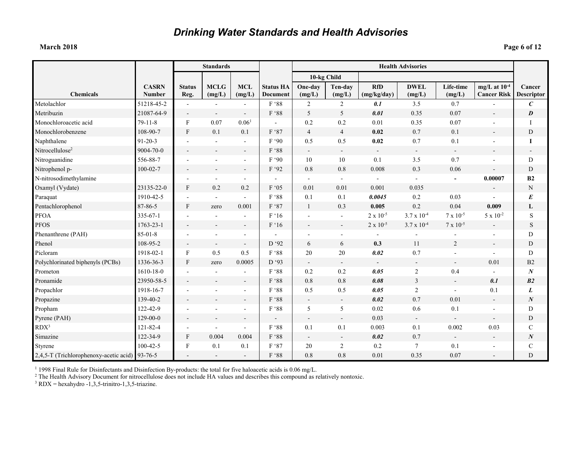### **March 2018 Page 6 of 12**

|                                                |                               |                           | <b>Standards</b>         |                          |                                     |                          |                          |                           | <b>Health Advisories</b> |                          |                                         |                             |
|------------------------------------------------|-------------------------------|---------------------------|--------------------------|--------------------------|-------------------------------------|--------------------------|--------------------------|---------------------------|--------------------------|--------------------------|-----------------------------------------|-----------------------------|
|                                                |                               |                           |                          |                          |                                     |                          | 10-kg Child              |                           |                          |                          |                                         |                             |
| <b>Chemicals</b>                               | <b>CASRN</b><br><b>Number</b> | <b>Status</b><br>Reg.     | <b>MCLG</b><br>(mg/L)    | <b>MCL</b><br>(mg/L)     | <b>Status HA</b><br><b>Document</b> | One-day<br>(mg/L)        | Ten-day<br>(mg/L)        | <b>RfD</b><br>(mg/kg/day) | <b>DWEL</b><br>(mg/L)    | Life-time<br>(mg/L)      | mg/L at $10^{-4}$<br><b>Cancer Risk</b> | Cancer<br><b>Descriptor</b> |
| Metolachlor                                    | 51218-45-2                    |                           |                          |                          | F '88                               | 2                        | 2                        | 0.1                       | 3.5                      | 0.7                      |                                         | $\boldsymbol{C}$            |
| Metribuzin                                     | 21087-64-9                    | $\overline{\phantom{a}}$  | $\overline{\phantom{a}}$ | $\overline{\phantom{a}}$ | F '88                               | 5                        | 5                        | 0.01                      | 0.35                     | 0.07                     |                                         | $\boldsymbol{D}$            |
| Monochloroacetic acid                          | $79 - 11 - 8$                 | $_{\rm F}$                | 0.07                     | 0.06 <sup>1</sup>        | $\overline{a}$                      | 0.2                      | 0.2                      | 0.01                      | 0.35                     | 0.07                     |                                         | I                           |
| Monochlorobenzene                              | 108-90-7                      | $\mathbf{F}$              | 0.1                      | 0.1                      | F '87                               | $\overline{4}$           | $\overline{4}$           | 0.02                      | 0.7                      | 0.1                      |                                         | D                           |
| Naphthalene                                    | $91 - 20 - 3$                 | $\blacksquare$            |                          | $\blacksquare$           | F '90                               | 0.5                      | 0.5                      | 0.02                      | 0.7                      | 0.1                      |                                         | I                           |
| Nitrocellulose <sup>2</sup>                    | 9004-70-0                     | $\overline{\phantom{a}}$  |                          | $\blacksquare$           | F '88                               | $\blacksquare$           | $\blacksquare$           | $\overline{\phantom{a}}$  | $\sim$                   | $\blacksquare$           |                                         |                             |
| Nitroguanidine                                 | 556-88-7                      |                           |                          |                          | F'90                                | 10                       | 10                       | 0.1                       | 3.5                      | 0.7                      |                                         | D                           |
| Nitrophenol p-                                 | $100 - 02 - 7$                | $\overline{\phantom{a}}$  |                          | $\overline{\phantom{a}}$ | F '92                               | 0.8                      | 0.8                      | 0.008                     | 0.3                      | 0.06                     |                                         | D                           |
| N-nitrosodimethylamine                         |                               |                           |                          |                          |                                     |                          | $\sim$                   |                           |                          | $\mathbf{r}$             | 0.00007                                 | B2                          |
| Oxamyl (Vydate)                                | 23135-22-0                    | F                         | 0.2                      | 0.2                      | F '05                               | 0.01                     | 0.01                     | 0.001                     | 0.035                    |                          |                                         | $\mathbf N$                 |
| Paraquat                                       | 1910-42-5                     |                           |                          | $\blacksquare$           | F '88                               | 0.1                      | 0.1                      | 0.0045                    | 0.2                      | 0.03                     | $\blacksquare$                          | $\boldsymbol{E}$            |
| Pentachlorophenol                              | 87-86-5                       | F                         | zero                     | 0.001                    | F '87                               | $\mathbf{1}$             | 0.3                      | 0.005                     | 0.2                      | 0.04                     | 0.009                                   | L                           |
| <b>PFOA</b>                                    | 335-67-1                      |                           |                          |                          | F'16                                |                          |                          | $2 \times 10^{-5}$        | $3.7 \times 10^{-4}$     | $7 \times 10^{-5}$       | $5 \times 10^{-2}$                      | S                           |
| <b>PFOS</b>                                    | 1763-23-1                     | $\overline{\phantom{a}}$  |                          | $\overline{\phantom{a}}$ | F '16                               | $\blacksquare$           | $\overline{\phantom{a}}$ | $2 \times 10^{-5}$        | $3.7 \times 10^{-4}$     | $7 \times 10^{-5}$       |                                         | S                           |
| Phenanthrene (PAH)                             | $85 - 01 - 8$                 |                           |                          | $\blacksquare$           |                                     |                          | $\overline{\phantom{a}}$ |                           |                          |                          |                                         | D                           |
| Phenol                                         | 108-95-2                      | $\sim$                    |                          | $\sim$                   | D '92                               | 6                        | 6                        | 0.3                       | 11                       | $\boldsymbol{2}$         | $\overline{a}$                          | D                           |
| Picloram                                       | 1918-02-1                     | $\boldsymbol{\mathrm{F}}$ | 0.5                      | 0.5                      | F '88                               | $20\,$                   | $20\,$                   | 0.02                      | 0.7                      | ÷,                       | $\blacksquare$                          | $\mathbf D$                 |
| Polychlorinated biphenyls (PCBs)               | 1336-36-3                     | $\mathbf{F}$              | zero                     | 0.0005                   | D '93                               | $\blacksquare$           | $\blacksquare$           | $\overline{\phantom{a}}$  | $\blacksquare$           | $\overline{\phantom{a}}$ | 0.01                                    | B2                          |
| Prometon                                       | 1610-18-0                     |                           |                          |                          | F '88                               | 0.2                      | 0.2                      | 0.05                      | $\boldsymbol{2}$         | 0.4                      |                                         | $\boldsymbol{N}$            |
| Pronamide                                      | 23950-58-5                    |                           |                          | $\overline{\phantom{a}}$ | F '88                               | 0.8                      | 0.8                      | 0.08                      | $\overline{3}$           | $\blacksquare$           | 0.1                                     | B2                          |
| Propachlor                                     | 1918-16-7                     |                           |                          | ۰.                       | F '88                               | 0.5                      | 0.5                      | 0.05                      | $\overline{2}$           | $\sim$                   | 0.1                                     | L                           |
| Propazine                                      | 139-40-2                      |                           |                          | $\blacksquare$           | F '88                               | $\blacksquare$           | $\blacksquare$           | 0.02                      | 0.7                      | 0.01                     | $\mathbf{r}$                            | $\boldsymbol{N}$            |
| Propham                                        | 122-42-9                      |                           |                          |                          | F '88                               | 5                        | 5                        | 0.02                      | 0.6                      | 0.1                      |                                         | D                           |
| Pyrene (PAH)                                   | $129 - 00 - 0$                | $\overline{\phantom{a}}$  |                          | $\overline{\phantom{a}}$ | $\qquad \qquad \blacksquare$        | $\overline{\phantom{a}}$ | $\overline{\phantom{a}}$ | 0.03                      | $\sim$                   | $\overline{\phantom{a}}$ | $\overline{\phantom{a}}$                | D                           |
| $RDX^3$                                        | 121-82-4                      | $\overline{\phantom{a}}$  |                          | $\blacksquare$           | F '88                               | 0.1                      | $0.1\,$                  | 0.003                     | 0.1                      | 0.002                    | 0.03                                    | $\mathcal{C}$               |
| Simazine                                       | 122-34-9                      | F                         | 0.004                    | 0.004                    | F '88                               | $\overline{\phantom{a}}$ | $\blacksquare$           | 0.02                      | 0.7                      |                          |                                         | N                           |
| Styrene                                        | $100 - 42 - 5$                | ${\bf F}$                 | 0.1                      | 0.1                      | F '87                               | $20\,$                   | $\sqrt{2}$               | $0.2\,$                   | $\overline{7}$           | 0.1                      |                                         | $\mathbf C$                 |
| 2,4,5-T (Trichlorophenoxy-acetic acid) 93-76-5 |                               |                           |                          | $\blacksquare$           | F '88                               | 0.8                      | 0.8                      | 0.01                      | 0.35                     | 0.07                     |                                         | D                           |

<sup>1</sup> 1998 Final Rule for Disinfectants and Disinfection By-products: the total for five haloacetic acids is 0.06 mg/L.

<sup>2</sup> The Health Advisory Document for nitrocellulose does not include HA values and describes this compound as relatively nontoxic.

 $3$  RDX = hexahydro -1,3,5-trinitro-1,3,5-triazine.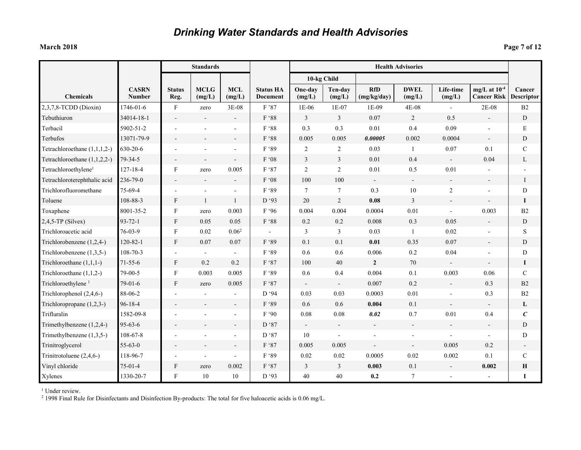### **March 2018 Page 7 of 12**

|                                  |                               |                           | <b>Standards</b>         |                          |                                     |                          |                          |                           | <b>Health Advisories</b> |                          |                                         |                             |
|----------------------------------|-------------------------------|---------------------------|--------------------------|--------------------------|-------------------------------------|--------------------------|--------------------------|---------------------------|--------------------------|--------------------------|-----------------------------------------|-----------------------------|
|                                  |                               |                           |                          |                          |                                     | 10-kg Child              |                          |                           |                          |                          |                                         |                             |
| <b>Chemicals</b>                 | <b>CASRN</b><br><b>Number</b> | <b>Status</b><br>Reg.     | <b>MCLG</b><br>(mg/L)    | <b>MCL</b><br>(mg/L)     | <b>Status HA</b><br><b>Document</b> | One-day<br>(mg/L)        | Ten-day<br>(mg/L)        | <b>RfD</b><br>(mg/kg/day) | <b>DWEL</b><br>(mg/L)    | Life-time<br>(mg/L)      | mg/L at $10^{-4}$<br><b>Cancer Risk</b> | Cancer<br><b>Descriptor</b> |
| 2,3,7,8-TCDD (Dioxin)            | 1746-01-6                     | $\boldsymbol{F}$          | zero                     | 3E-08                    | F'87                                | $1E-06$                  | $1E-07$                  | 1E-09                     | $4E-08$                  |                          | $2E-08$                                 | B <sub>2</sub>              |
| Tebuthiuron                      | 34014-18-1                    |                           |                          |                          | $\mathrm{F}$ '88                    | 3                        | $\overline{3}$           | 0.07                      | $\overline{2}$           | 0.5                      | $\blacksquare$                          | D                           |
| Terbacil                         | 5902-51-2                     |                           |                          |                          | F '88                               | 0.3                      | 0.3                      | 0.01                      | 0.4                      | 0.09                     |                                         | E                           |
| Terbufos                         | 13071-79-9                    |                           |                          | $\overline{\phantom{a}}$ | F '88                               | 0.005                    | 0.005                    | 0.00005                   | 0.002                    | 0.0004                   | $\overline{\phantom{a}}$                | ${\rm D}$                   |
| Tetrachloroethane $(1,1,1,2-)$   | 630-20-6                      |                           |                          |                          | F '89                               | 2                        | 2                        | 0.03                      | -1                       | 0.07                     | 0.1                                     | $\mathcal{C}$               |
| Tetrachloroethane $(1,1,2,2-)$   | $79 - 34 - 5$                 |                           | $\blacksquare$           | $\blacksquare$           | F'08                                | 3                        | 3                        | 0.01                      | 0.4                      | $\overline{\phantom{a}}$ | 0.04                                    | L                           |
| Tetrachloroethylene <sup>1</sup> | $127 - 18 - 4$                | $\boldsymbol{\mathrm{F}}$ | zero                     | 0.005                    | F '87                               | 2                        | $\overline{2}$           | 0.01                      | 0.5                      | 0.01                     |                                         |                             |
| Tetrachloroterephthalic acid     | 236-79-0                      | $\blacksquare$            | $\overline{\phantom{a}}$ | $\overline{\phantom{a}}$ | F'08                                | 100                      | 100                      | $\blacksquare$            | $\sim$                   | $\overline{\phantom{a}}$ | $\overline{\phantom{a}}$                | <b>I</b>                    |
| Trichlorofluoromethane           | 75-69-4                       |                           |                          |                          | F '89                               | $\boldsymbol{7}$         | $\tau$                   | 0.3                       | $10\,$                   | $\mathbf{2}$             |                                         | D                           |
| Toluene                          | 108-88-3                      | $\boldsymbol{\mathrm{F}}$ | $\mathbf{1}$             | $\mathbf{1}$             | D'93                                | 20                       | $\overline{2}$           | 0.08                      | $\overline{3}$           |                          |                                         | 1                           |
| Toxaphene                        | 8001-35-2                     | $\boldsymbol{\mathrm{F}}$ | zero                     | 0.003                    | F '96                               | 0.004                    | 0.004                    | 0.0004                    | $0.01\,$                 | $\omega$                 | 0.003                                   | B2                          |
| $2,4,5$ -TP (Silvex)             | $93 - 72 - 1$                 | $\boldsymbol{\mathrm{F}}$ | 0.05                     | 0.05                     | $\rm F$ '88                         | $0.2\,$                  | 0.2                      | 0.008                     | 0.3                      | 0.05                     | $\sim$                                  | D                           |
| Trichloroacetic acid             | 76-03-9                       | $\boldsymbol{F}$          | 0.02                     | 0.06 <sup>2</sup>        |                                     | 3                        | 3                        | 0.03                      | -1                       | 0.02                     | $\blacksquare$                          | S                           |
| Trichlorobenzene (1,2,4-)        | $120 - 82 - 1$                | $\mathbf{F}$              | 0.07                     | 0.07                     | F '89                               | 0.1                      | 0.1                      | 0.01                      | 0.35                     | 0.07                     | $\blacksquare$                          | D                           |
| Trichlorobenzene (1,3,5-)        | $108 - 70 - 3$                |                           |                          |                          | F '89                               | 0.6                      | 0.6                      | 0.006                     | 0.2                      | 0.04                     |                                         | D                           |
| Trichloroethane $(1,1,1-)$       | $71 - 55 - 6$                 | F                         | 0.2                      | 0.2                      | F '87                               | 100                      | 40                       | $\overline{2}$            | 70                       |                          | $\blacksquare$                          | 1                           |
| Trichloroethane $(1,1,2-)$       | 79-00-5                       | $\boldsymbol{\mathrm{F}}$ | 0.003                    | 0.005                    | F '89                               | 0.6                      | 0.4                      | 0.004                     | 0.1                      | 0.003                    | 0.06                                    | $\mathcal{C}$               |
| Trichloroethylene <sup>1</sup>   | $79 - 01 - 6$                 | F                         | zero                     | 0.005                    | F '87                               | $\overline{\phantom{a}}$ | $\overline{\phantom{a}}$ | 0.007                     | 0.2                      | $\overline{\phantom{a}}$ | 0.3                                     | B2                          |
| Trichlorophenol (2,4,6-)         | 88-06-2                       |                           |                          |                          | D '94                               | 0.03                     | 0.03                     | 0.0003                    | 0.01                     |                          | 0.3                                     | B2                          |
| Trichloropropane $(1,2,3-)$      | 96-18-4                       |                           |                          |                          | F '89                               | 0.6                      | 0.6                      | 0.004                     | 0.1                      |                          | $\blacksquare$                          | L                           |
| Trifluralin                      | 1582-09-8                     |                           |                          | $\blacksquare$           | F '90                               | 0.08                     | 0.08                     | 0.02                      | 0.7                      | 0.01                     | 0.4                                     | $\epsilon$                  |
| Trimethylbenzene (1,2,4-)        | $95 - 63 - 6$                 |                           |                          | $\overline{\phantom{a}}$ | D '87                               | $\overline{\phantom{a}}$ | $\overline{\phantom{a}}$ |                           |                          | $\overline{\phantom{a}}$ | $\overline{\phantom{a}}$                | D                           |
| Trimethylbenzene $(1,3,5-)$      | $108 - 67 - 8$                |                           |                          | $\blacksquare$           | D '87                               | 10                       | $\sim$                   |                           | $\overline{\phantom{a}}$ | $\overline{\phantom{a}}$ | $\blacksquare$                          | D                           |
| Trinitroglycerol                 | $55 - 63 - 0$                 |                           |                          |                          | F '87                               | 0.005                    | 0.005                    |                           |                          | 0.005                    | 0.2                                     |                             |
| Trinitrotoluene (2,4,6-)         | 118-96-7                      |                           |                          |                          | F '89                               | 0.02                     | 0.02                     | 0.0005                    | 0.02                     | 0.002                    | 0.1                                     | $\mathbf C$                 |
| Vinyl chloride                   | $75-01-4$                     | $\boldsymbol{\mathrm{F}}$ | zero                     | 0.002                    | F '87                               | 3                        | 3                        | 0.003                     | 0.1                      | $\blacksquare$           | 0.002                                   | $\bf H$                     |
| Xylenes                          | 1330-20-7                     | $\mathbf F$               | 10                       | 10                       | D'93                                | 40                       | 40                       | 0.2                       |                          |                          |                                         | I                           |

<sup>1</sup> Under review.

<sup>2</sup> 1998 Final Rule for Disinfectants and Disinfection By-products: The total for five haloacetic acids is 0.06 mg/L.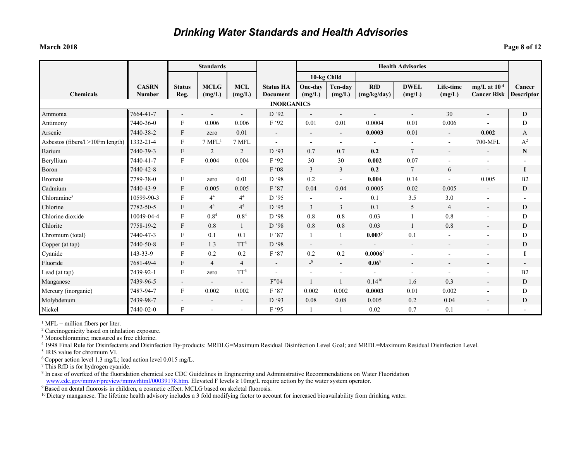#### **March 2018 Page 8 of 12**

| Page 8 of 12 |  |
|--------------|--|
|--------------|--|

|                                  | <b>Standards</b>              |                          |                          |                          |                                     |                          | <b>Health Advisories</b> |                           |                          |                     |                                         |                             |
|----------------------------------|-------------------------------|--------------------------|--------------------------|--------------------------|-------------------------------------|--------------------------|--------------------------|---------------------------|--------------------------|---------------------|-----------------------------------------|-----------------------------|
|                                  |                               |                          |                          |                          |                                     |                          | 10-kg Child              |                           |                          |                     |                                         |                             |
| <b>Chemicals</b>                 | <b>CASRN</b><br><b>Number</b> | <b>Status</b><br>Reg.    | <b>MCLG</b><br>(mg/L)    | <b>MCL</b><br>(mg/L)     | <b>Status HA</b><br><b>Document</b> | One-day<br>(mg/L)        | Ten-dav<br>(mg/L)        | <b>RfD</b><br>(mg/kg/day) | <b>DWEL</b><br>(mg/L)    | Life-time<br>(mg/L) | mg/L at $10^{-4}$<br><b>Cancer Risk</b> | Cancer<br><b>Descriptor</b> |
|                                  |                               |                          |                          |                          | <b>INORGANICS</b>                   |                          |                          |                           |                          |                     |                                         |                             |
| Ammonia                          | 7664-41-7                     | $\blacksquare$           | $\overline{\phantom{a}}$ |                          | D '92                               |                          | $\blacksquare$           | $\overline{\phantom{0}}$  | $\blacksquare$           | 30                  | $\sim$                                  | D                           |
| Antimony                         | 7440-36-0                     | F                        | 0.006                    | 0.006                    | F '92                               | 0.01                     | 0.01                     | 0.0004                    | 0.01                     | 0.006               |                                         | $\mathbf D$                 |
| Arsenic                          | 7440-38-2                     | F                        | zero                     | 0.01                     | $\mathbb{Z}^+$                      | $\overline{\phantom{a}}$ | $\mathbf{r}$             | 0.0003                    | 0.01                     | $\blacksquare$      | 0.002                                   | A                           |
| Asbestos (fibers/l >10Fm length) | 1332-21-4                     | F                        | 7 MFL <sup>1</sup>       | 7 MFL                    | $\sim$                              | $\blacksquare$           | $\sim$                   | $\overline{\phantom{a}}$  | $\blacksquare$           | $\sim$              | 700-MFL                                 | $A^2$                       |
| Barium                           | 7440-39-3                     | F                        | 2                        | $\overline{2}$           | D'93                                | 0.7                      | 0.7                      | 0.2                       | $\overline{7}$           |                     |                                         | ${\bf N}$                   |
| Beryllium                        | 7440-41-7                     | F                        | 0.004                    | 0.004                    | F '92                               | 30                       | 30                       | 0.002                     | 0.07                     |                     |                                         |                             |
| Boron                            | 7440-42-8                     | $\blacksquare$           |                          | $\blacksquare$           | F '08                               | 3                        | $\overline{3}$           | 0.2                       | $7\phantom{.0}$          | 6                   | $\sim$                                  | I                           |
| <b>Bromate</b>                   | 7789-38-0                     | F                        | zero                     | 0.01                     | D '98                               | 0.2                      | $\sim$                   | 0.004                     | 0.14                     |                     | 0.005                                   | B <sub>2</sub>              |
| Cadmium                          | 7440-43-9                     | F                        | 0.005                    | 0.005                    | F '87                               | 0.04                     | 0.04                     | 0.0005                    | 0.02                     | 0.005               |                                         | D                           |
| Chloramine <sup>3</sup>          | 10599-90-3                    | F                        | 4 <sup>4</sup>           | 4 <sup>4</sup>           | D'95                                | $\blacksquare$           |                          | 0.1                       | 3.5                      | 3.0                 |                                         |                             |
| Chlorine                         | 7782-50-5                     | F                        | 4 <sup>4</sup>           | $4^{4}$                  | D '95                               | $\overline{3}$           | $\overline{3}$           | 0.1                       | 5                        | $\overline{4}$      |                                         | D                           |
| Chlorine dioxide                 | 10049-04-4                    | $\rm F$                  | $0.8^{4}$                | $0.8^{4}$                | D '98                               | 0.8                      | 0.8                      | 0.03                      |                          | 0.8                 |                                         | D                           |
| Chlorite                         | 7758-19-2                     | F                        | 0.8                      | $\mathbf{1}$             | D'98                                | 0.8                      | 0.8                      | 0.03                      | $\mathbf{1}$             | 0.8                 |                                         | D                           |
| Chromium (total)                 | 7440-47-3                     | F                        | 0.1                      | 0.1                      | F '87                               | $\overline{1}$           |                          | $0.003^{5}$               | 0.1                      |                     |                                         | D                           |
| Copper (at tap)                  | 7440-50-8                     | F                        | 1.3                      | TT <sup>6</sup>          | D '98                               | $\overline{\phantom{a}}$ | $\sim$                   | $\overline{\phantom{a}}$  | $\overline{\phantom{a}}$ | $\sim$              | $\sim$                                  | D                           |
| Cyanide                          | 143-33-9                      | F                        | 0.2                      | 0.2                      | F '87                               | 0.2                      | 0.2                      | $0.0006^7$                |                          |                     |                                         | I                           |
| Fluoride                         | 7681-49-4                     | F                        | $\overline{4}$           | $\overline{4}$           | $\mathbb{Z}^+$                      | $-8$                     | Ξ.                       | $0.06^9$                  |                          |                     |                                         | $\blacksquare$              |
| Lead (at tap)                    | 7439-92-1                     | F                        | zero                     | TT <sup>6</sup>          | $\sim$                              | $\blacksquare$           | ٠                        | $\overline{\phantom{a}}$  | $\overline{\phantom{a}}$ | $\sim$              |                                         | B <sub>2</sub>              |
| Manganese                        | 7439-96-5                     | $\overline{\phantom{a}}$ |                          |                          | F'04                                | $\mathbf{1}$             |                          | $0.14^{10}$               | 1.6                      | 0.3                 |                                         | D                           |
| Mercury (inorganic)              | 7487-94-7                     | F                        | 0.002                    | 0.002                    | F '87                               | 0.002                    | 0.002                    | 0.0003                    | 0.01                     | 0.002               | $\overline{\phantom{a}}$                | $\mathbf D$                 |
| Molybdenum                       | 7439-98-7                     |                          |                          | $\overline{\phantom{a}}$ | D'93                                | 0.08                     | 0.08                     | 0.005                     | 0.2                      | 0.04                |                                         | D                           |
| Nickel                           | 7440-02-0                     | F                        |                          | $\overline{\phantom{a}}$ | F '95                               | $\overline{1}$           |                          | 0.02                      | 0.7                      | 0.1                 |                                         |                             |

 $<sup>1</sup>$  MFL = million fibers per liter.</sup>

<sup>2</sup> Carcinogenicity based on inhalation exposure.

<sup>3</sup> Monochloramine; measured as free chlorine.

<sup>4</sup> 1998 Final Rule for Disinfectants and Disinfection By-products: MRDLG=Maximum Residual Disinfection Level Goal; and MRDL=Maximum Residual Disinfection Level.

<sup>5</sup> IRIS value for chromium VI.

<sup>6</sup> Copper action level 1.3 mg/L; lead action level 0.015 mg/L.

<sup>7</sup> This RfD is for hydrogen cyanide.

<sup>8</sup> In case of overfeed of the fluoridation chemical see CDC Guidelines in Engineering and Administrative Recommendations on Water Fluoridation [www.cdc.gov/mmwr/preview/mmwrhtml/00039178.htm.](http://www.cdc.gov/mmwr/preview/mmwrhtml/00039178.htm) Elevated F levels ≥ 10mg/L require action by the water system operator.

<sup>9</sup> Based on dental fluorosis in children, a cosmetic effect. MCLG based on skeletal fluorosis.

<sup>10</sup> Dietary manganese. The lifetime health advisory includes a 3 fold modifying factor to account for increased bioavailability from drinking water.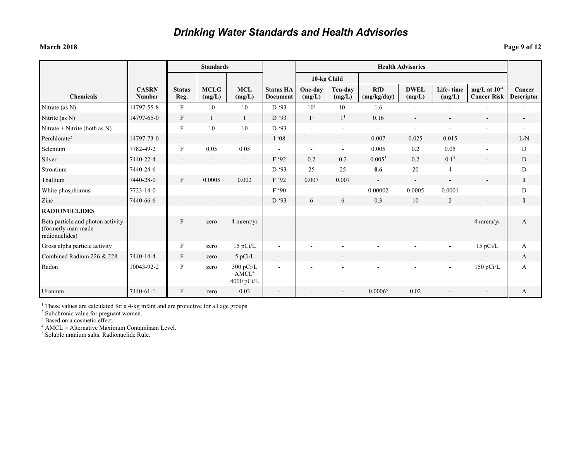### **March 2018 Page 9 of 12**

|                                                                           |                               | <b>Standards</b>          |                       |                                                |                                     | <b>Health Advisories</b> |                          |                           |                          |                          |                                         |                             |
|---------------------------------------------------------------------------|-------------------------------|---------------------------|-----------------------|------------------------------------------------|-------------------------------------|--------------------------|--------------------------|---------------------------|--------------------------|--------------------------|-----------------------------------------|-----------------------------|
|                                                                           |                               |                           |                       |                                                |                                     |                          | 10-kg Child              |                           |                          |                          |                                         |                             |
| <b>Chemicals</b>                                                          | <b>CASRN</b><br><b>Number</b> | <b>Status</b><br>Reg.     | <b>MCLG</b><br>(mg/L) | <b>MCL</b><br>(mg/L)                           | <b>Status HA</b><br><b>Document</b> | One-day<br>(mg/L)        | Ten-day<br>(mg/L)        | <b>RfD</b><br>(mg/kg/day) | <b>DWEL</b><br>(mg/L)    | Life-time<br>(mg/L)      | mg/L at $10^{-4}$<br><b>Cancer Risk</b> | Cancer<br><b>Descriptor</b> |
| Nitrate (as N)                                                            | 14797-55-8                    | $\mathbf{F}$              | 10                    | 10                                             | D '93                               | 10 <sup>1</sup>          | 10 <sup>1</sup>          | 1.6                       | ٠                        | $\blacksquare$           | $\blacksquare$                          | $\blacksquare$              |
| Nitrite (as N)                                                            | 14797-65-0                    | $\mathbf{F}$              |                       | $\mathbf{1}$                                   | D'93                                | 1 <sup>1</sup>           | 1 <sup>1</sup>           | 0.16                      | $\sim$                   |                          | $\overline{\phantom{a}}$                |                             |
| Nitrate + Nitrite (both as N)                                             |                               | $\boldsymbol{\mathrm{F}}$ | 10                    | 10                                             | D'93                                | $\blacksquare$           | $\blacksquare$           | $\blacksquare$            |                          |                          | $\blacksquare$                          |                             |
| Perchlorate <sup>2</sup>                                                  | 14797-73-0                    | $\blacksquare$            | $\blacksquare$        | $\overline{\phantom{a}}$                       | I'08                                | $\blacksquare$           | $\blacksquare$           | 0.007                     | 0.025                    | 0.015                    |                                         | L/N                         |
| Selenium                                                                  | 7782-49-2                     | $\boldsymbol{\mathrm{F}}$ | 0.05                  | 0.05                                           | $\blacksquare$                      | $\overline{\phantom{a}}$ | $\blacksquare$           | 0.005                     | 0.2                      | 0.05                     | $\overline{\phantom{a}}$                | D                           |
| Silver                                                                    | 7440-22-4                     | $\blacksquare$            | $\blacksquare$        | $\sim$                                         | F '92                               | 0.2                      | 0.2                      | 0.005 <sup>3</sup>        | 0.2                      | 0.1 <sup>3</sup>         | $\overline{a}$                          | D                           |
| Strontium                                                                 | 7440-24-6                     | $\overline{\phantom{a}}$  |                       | $\overline{\phantom{a}}$                       | D '93                               | 25                       | 25                       | 0.6                       | 20                       | $\overline{4}$           | $\overline{\phantom{a}}$                | D                           |
| Thallium                                                                  | 7440-28-0                     | $\mathbf{F}$              | 0.0005                | 0.002                                          | F '92                               | 0.007                    | 0.007                    | $\sim$                    | $\overline{\phantom{a}}$ | $\blacksquare$           | $\overline{\phantom{a}}$                | 1                           |
| White phosphorous                                                         | 7723-14-0                     | $\blacksquare$            |                       | $\overline{\phantom{a}}$                       | F'90                                | $\blacksquare$           | $\blacksquare$           | 0.00002                   | 0.0005                   | 0.0001                   |                                         | D                           |
| Zinc                                                                      | 7440-66-6                     | $\overline{\phantom{a}}$  |                       | $\overline{\phantom{a}}$                       | D '93                               | 6                        | 6                        | 0.3                       | 10                       | 2                        | $\blacksquare$                          | 1                           |
| <b>RADIONUCLIDES</b>                                                      |                               |                           |                       |                                                |                                     |                          |                          |                           |                          |                          |                                         |                             |
| Beta particle and photon activity<br>(formerly man-made<br>radionuclides) |                               | $\mathbf{F}$              | zero                  | 4 mrem/yr                                      | $\overline{\phantom{a}}$            |                          |                          |                           |                          |                          | 4 mrem/yr                               | A                           |
| Gross alpha particle activity                                             |                               | $\boldsymbol{\mathrm{F}}$ | zero                  | 15 pCi/L                                       | $\blacksquare$                      | $\overline{\phantom{a}}$ |                          |                           |                          | $\blacksquare$           | 15 pCi/L                                | A                           |
| Combined Radium 226 & 228                                                 | 7440-14-4                     | $\boldsymbol{\mathrm{F}}$ | zero                  | 5 pCi/L                                        | $\overline{\phantom{a}}$            | $\overline{\phantom{a}}$ | $\overline{\phantom{a}}$ | $\overline{a}$            |                          | $\overline{\phantom{a}}$ | $\overline{\phantom{a}}$                | A                           |
| Radon                                                                     | 10043-92-2                    | $\mathbf{P}$              | zero                  | $300$ pCi/L<br>AMCL <sup>4</sup><br>4000 pCi/L |                                     |                          |                          |                           |                          | ۰                        | 150 pCi/L                               | A                           |
| Uranium                                                                   | 7440-61-1                     | $\mathbf{F}$              | zero                  | 0.03                                           | $\overline{\phantom{a}}$            |                          |                          | 0.0006 <sup>5</sup>       | 0.02                     |                          |                                         | A                           |

<sup>1</sup> These values are calculated for a 4-kg infant and are protective for all age groups.

<sup>2</sup> Subchronic value for pregnant women.

<sup>3</sup> Based on a cosmetic effect.

 $4$  AMCL = Alternative Maximum Contaminant Level.

<sup>5</sup> Soluble uranium salts. Radionuclide Rule.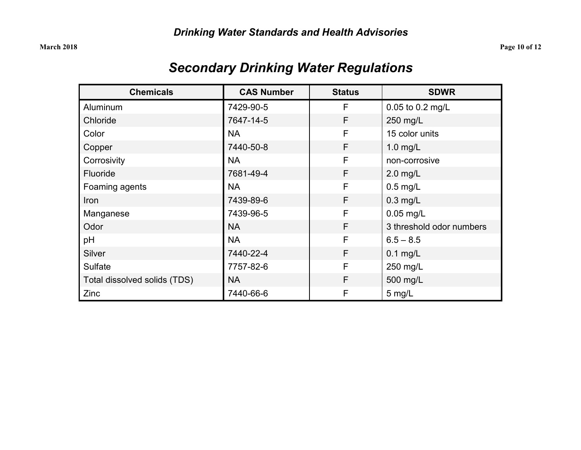| <b>Chemicals</b>             | <b>CAS Number</b>          | <b>Status</b>       | <b>SDWR</b>              |  |
|------------------------------|----------------------------|---------------------|--------------------------|--|
| Aluminum                     | 7429-90-5                  | F                   | 0.05 to 0.2 mg/L         |  |
| Chloride                     | F<br>7647-14-5<br>250 mg/L |                     |                          |  |
| Color                        | <b>NA</b>                  | F<br>15 color units |                          |  |
| Copper                       | 7440-50-8                  | F                   | $1.0$ mg/L               |  |
| Corrosivity                  | <b>NA</b>                  | F                   | non-corrosive            |  |
| Fluoride                     | 7681-49-4                  | F                   | $2.0$ mg/L               |  |
| Foaming agents               | <b>NA</b>                  | F                   | $0.5$ mg/L               |  |
| Iron                         | 7439-89-6                  | F<br>$0.3$ mg/L     |                          |  |
| Manganese                    | 7439-96-5                  | F                   | $0.05$ mg/L              |  |
| Odor                         | <b>NA</b>                  | F                   | 3 threshold odor numbers |  |
| pH                           | <b>NA</b>                  | F                   | $6.5 - 8.5$              |  |
| Silver                       | 7440-22-4                  | F<br>$0.1$ mg/L     |                          |  |
| Sulfate                      | 7757-82-6                  | F                   | 250 mg/L                 |  |
| Total dissolved solids (TDS) | NA.                        | F                   | 500 mg/L                 |  |
| Zinc                         | 7440-66-6                  | F                   | $5$ mg/L                 |  |

## *Secondary Drinking Water Regulations*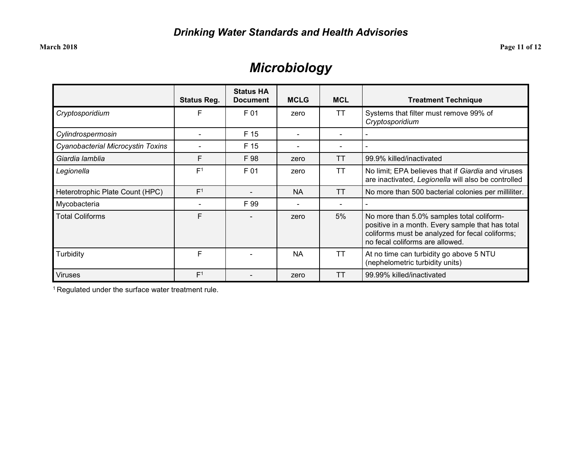## *Microbiology*

|                                   | <b>Status Reg.</b> | <b>Status HA</b><br><b>Document</b> | <b>MCLG</b> | <b>MCL</b> | <b>Treatment Technique</b>                                                                                                                                                          |
|-----------------------------------|--------------------|-------------------------------------|-------------|------------|-------------------------------------------------------------------------------------------------------------------------------------------------------------------------------------|
| Cryptosporidium                   | F                  | F 01                                | zero        | <b>TT</b>  | Systems that filter must remove 99% of<br>Cryptosporidium                                                                                                                           |
| Cylindrospermosin                 |                    | F 15                                |             |            |                                                                                                                                                                                     |
| Cyanobacterial Microcystin Toxins |                    | F 15                                |             |            |                                                                                                                                                                                     |
| Giardia lamblia                   | F                  | F 98                                | zero        | ТT         | 99.9% killed/inactivated                                                                                                                                                            |
| Legionella                        | F <sup>1</sup>     | F 01                                | zero        | <b>TT</b>  | No limit; EPA believes that if Giardia and viruses<br>are inactivated, Legionella will also be controlled                                                                           |
| Heterotrophic Plate Count (HPC)   | F <sup>1</sup>     |                                     | <b>NA</b>   | <b>TT</b>  | No more than 500 bacterial colonies per milliliter.                                                                                                                                 |
| Mycobacteria                      |                    | F 99                                |             |            |                                                                                                                                                                                     |
| <b>Total Coliforms</b>            | F                  |                                     | zero        | 5%         | No more than 5.0% samples total coliform-<br>positive in a month. Every sample that has total<br>coliforms must be analyzed for fecal coliforms;<br>no fecal coliforms are allowed. |
| Turbidity                         | F                  |                                     | <b>NA</b>   | ТT         | At no time can turbidity go above 5 NTU<br>(nephelometric turbidity units)                                                                                                          |
| <b>Viruses</b>                    | F <sup>1</sup>     |                                     | zero        | TТ         | 99.99% killed/inactivated                                                                                                                                                           |

1 Regulated under the surface water treatment rule.